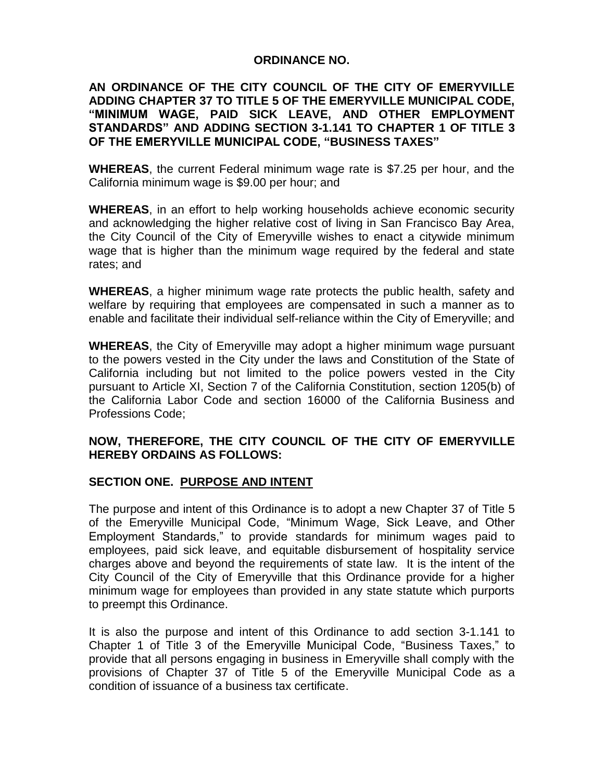#### **ORDINANCE NO.**

## **AN ORDINANCE OF THE CITY COUNCIL OF THE CITY OF EMERYVILLE ADDING CHAPTER 37 TO TITLE 5 OF THE EMERYVILLE MUNICIPAL CODE, "MINIMUM WAGE, PAID SICK LEAVE, AND OTHER EMPLOYMENT STANDARDS" AND ADDING SECTION 3-1.141 TO CHAPTER 1 OF TITLE 3 OF THE EMERYVILLE MUNICIPAL CODE, "BUSINESS TAXES"**

**WHEREAS**, the current Federal minimum wage rate is \$7.25 per hour, and the California minimum wage is \$9.00 per hour; and

**WHEREAS**, in an effort to help working households achieve economic security and acknowledging the higher relative cost of living in San Francisco Bay Area, the City Council of the City of Emeryville wishes to enact a citywide minimum wage that is higher than the minimum wage required by the federal and state rates; and

**WHEREAS**, a higher minimum wage rate protects the public health, safety and welfare by requiring that employees are compensated in such a manner as to enable and facilitate their individual self-reliance within the City of Emeryville; and

**WHEREAS**, the City of Emeryville may adopt a higher minimum wage pursuant to the powers vested in the City under the laws and Constitution of the State of California including but not limited to the police powers vested in the City pursuant to Article XI, Section 7 of the California Constitution, section 1205(b) of the California Labor Code and section 16000 of the California Business and Professions Code;

## **NOW, THEREFORE, THE CITY COUNCIL OF THE CITY OF EMERYVILLE HEREBY ORDAINS AS FOLLOWS:**

## **SECTION ONE. PURPOSE AND INTENT**

The purpose and intent of this Ordinance is to adopt a new Chapter 37 of Title 5 of the Emeryville Municipal Code, "Minimum Wage, Sick Leave, and Other Employment Standards," to provide standards for minimum wages paid to employees, paid sick leave, and equitable disbursement of hospitality service charges above and beyond the requirements of state law. It is the intent of the City Council of the City of Emeryville that this Ordinance provide for a higher minimum wage for employees than provided in any state statute which purports to preempt this Ordinance.

It is also the purpose and intent of this Ordinance to add section 3-1.141 to Chapter 1 of Title 3 of the Emeryville Municipal Code, "Business Taxes," to provide that all persons engaging in business in Emeryville shall comply with the provisions of Chapter 37 of Title 5 of the Emeryville Municipal Code as a condition of issuance of a business tax certificate.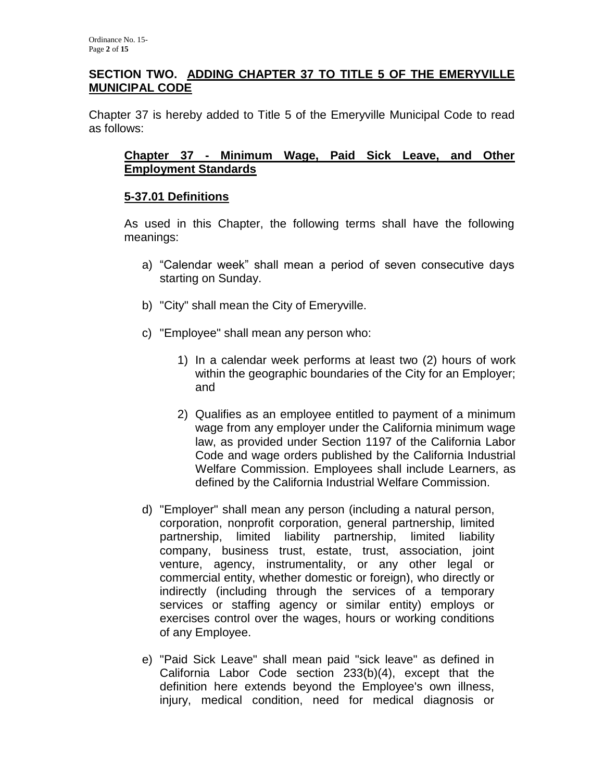## **SECTION TWO. ADDING CHAPTER 37 TO TITLE 5 OF THE EMERYVILLE MUNICIPAL CODE**

Chapter 37 is hereby added to Title 5 of the Emeryville Municipal Code to read as follows:

#### **Chapter 37 - Minimum Wage, Paid Sick Leave, and Other Employment Standards**

## **5-37.01 Definitions**

As used in this Chapter, the following terms shall have the following meanings:

- a) "Calendar week" shall mean a period of seven consecutive days starting on Sunday.
- b) "City" shall mean the City of Emeryville.
- c) "Employee" shall mean any person who:
	- 1) In a calendar week performs at least two (2) hours of work within the geographic boundaries of the City for an Employer; and
	- 2) Qualifies as an employee entitled to payment of a minimum wage from any employer under the California minimum wage law, as provided under Section 1197 of the California Labor Code and wage orders published by the California Industrial Welfare Commission. Employees shall include Learners, as defined by the California Industrial Welfare Commission.
- d) "Employer" shall mean any person (including a natural person, corporation, nonprofit corporation, general partnership, limited partnership, limited liability partnership, limited liability company, business trust, estate, trust, association, joint venture, agency, instrumentality, or any other legal or commercial entity, whether domestic or foreign), who directly or indirectly (including through the services of a temporary services or staffing agency or similar entity) employs or exercises control over the wages, hours or working conditions of any Employee.
- e) "Paid Sick Leave" shall mean paid "sick leave" as defined in California Labor Code section 233(b)(4), except that the definition here extends beyond the Employee's own illness, injury, medical condition, need for medical diagnosis or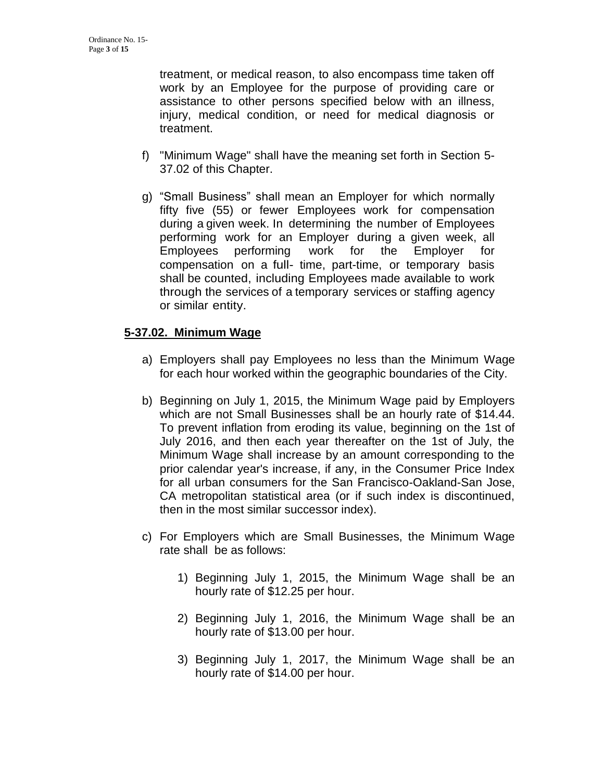treatment, or medical reason, to also encompass time taken off work by an Employee for the purpose of providing care or assistance to other persons specified below with an illness, injury, medical condition, or need for medical diagnosis or treatment.

- f) "Minimum Wage" shall have the meaning set forth in Section 5- 37.02 of this Chapter.
- g) "Small Business" shall mean an Employer for which normally fifty five (55) or fewer Employees work for compensation during a given week. In determining the number of Employees performing work for an Employer during a given week, all Employees performing work for the Employer for compensation on a full- time, part-time, or temporary basis shall be counted, including Employees made available to work through the services of a temporary services or staffing agency or similar entity.

# **5-37.02. Minimum Wage**

- a) Employers shall pay Employees no less than the Minimum Wage for each hour worked within the geographic boundaries of the City.
- b) Beginning on July 1, 2015, the Minimum Wage paid by Employers which are not Small Businesses shall be an hourly rate of \$14.44. To prevent inflation from eroding its value, beginning on the 1st of July 2016, and then each year thereafter on the 1st of July, the Minimum Wage shall increase by an amount corresponding to the prior calendar year's increase, if any, in the Consumer Price Index for all urban consumers for the San Francisco-Oakland-San Jose, CA metropolitan statistical area (or if such index is discontinued, then in the most similar successor index).
- c) For Employers which are Small Businesses, the Minimum Wage rate shall be as follows:
	- 1) Beginning July 1, 2015, the Minimum Wage shall be an hourly rate of \$12.25 per hour.
	- 2) Beginning July 1, 2016, the Minimum Wage shall be an hourly rate of \$13.00 per hour.
	- 3) Beginning July 1, 2017, the Minimum Wage shall be an hourly rate of \$14.00 per hour.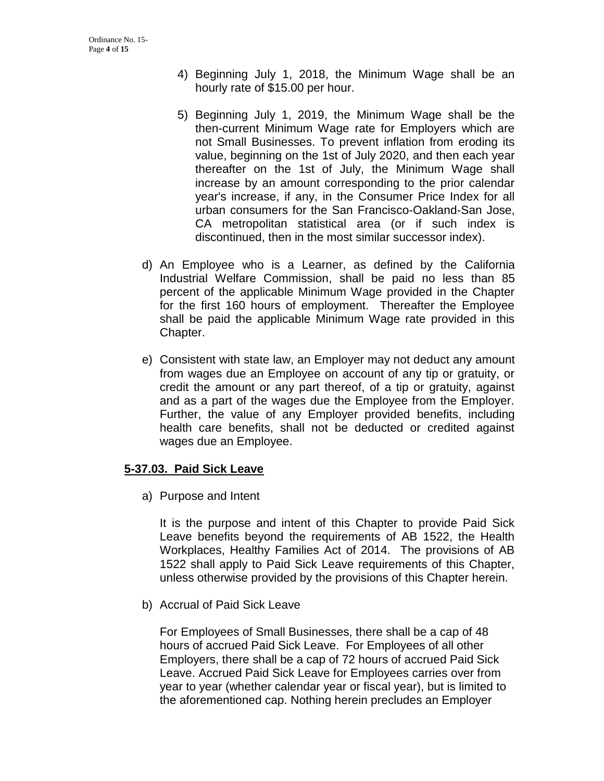- 4) Beginning July 1, 2018, the Minimum Wage shall be an hourly rate of \$15.00 per hour.
- 5) Beginning July 1, 2019, the Minimum Wage shall be the then-current Minimum Wage rate for Employers which are not Small Businesses. To prevent inflation from eroding its value, beginning on the 1st of July 2020, and then each year thereafter on the 1st of July, the Minimum Wage shall increase by an amount corresponding to the prior calendar year's increase, if any, in the Consumer Price Index for all urban consumers for the San Francisco-Oakland-San Jose, CA metropolitan statistical area (or if such index is discontinued, then in the most similar successor index).
- d) An Employee who is a Learner, as defined by the California Industrial Welfare Commission, shall be paid no less than 85 percent of the applicable Minimum Wage provided in the Chapter for the first 160 hours of employment. Thereafter the Employee shall be paid the applicable Minimum Wage rate provided in this Chapter.
- e) Consistent with state law, an Employer may not deduct any amount from wages due an Employee on account of any tip or gratuity, or credit the amount or any part thereof, of a tip or gratuity, against and as a part of the wages due the Employee from the Employer. Further, the value of any Employer provided benefits, including health care benefits, shall not be deducted or credited against wages due an Employee.

## **5-37.03. Paid Sick Leave**

a) Purpose and Intent

It is the purpose and intent of this Chapter to provide Paid Sick Leave benefits beyond the requirements of AB 1522, the Health Workplaces, Healthy Families Act of 2014. The provisions of AB 1522 shall apply to Paid Sick Leave requirements of this Chapter, unless otherwise provided by the provisions of this Chapter herein.

b) Accrual of Paid Sick Leave

For Employees of Small Businesses, there shall be a cap of 48 hours of accrued Paid Sick Leave. For Employees of all other Employers, there shall be a cap of 72 hours of accrued Paid Sick Leave. Accrued Paid Sick Leave for Employees carries over from year to year (whether calendar year or fiscal year), but is limited to the aforementioned cap. Nothing herein precludes an Employer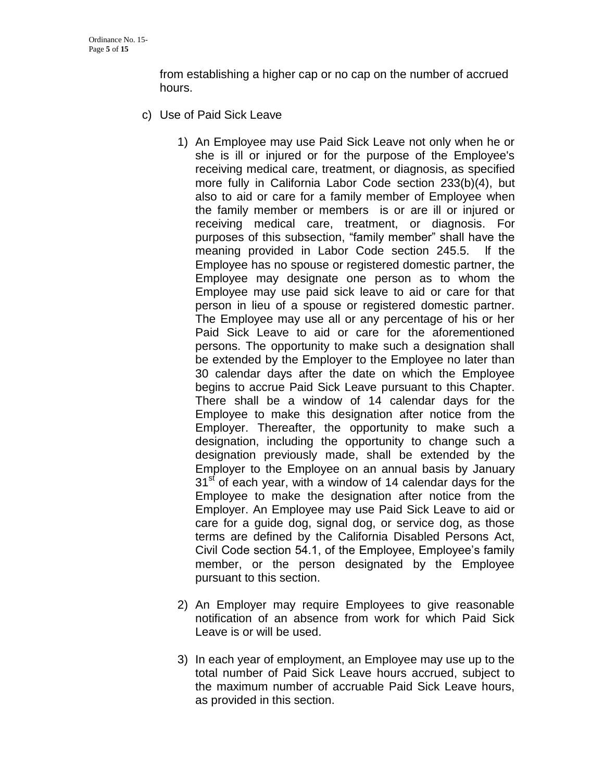from establishing a higher cap or no cap on the number of accrued hours.

- c) Use of Paid Sick Leave
	- 1) An Employee may use Paid Sick Leave not only when he or she is ill or injured or for the purpose of the Employee's receiving medical care, treatment, or diagnosis, as specified more fully in California Labor Code section 233(b)(4), but also to aid or care for a family member of Employee when the family member or members is or are ill or injured or receiving medical care, treatment, or diagnosis. For purposes of this subsection, "family member" shall have the meaning provided in Labor Code section 245.5. lf the Employee has no spouse or registered domestic partner, the Employee may designate one person as to whom the Employee may use paid sick leave to aid or care for that person in lieu of a spouse or registered domestic partner. The Employee may use all or any percentage of his or her Paid Sick Leave to aid or care for the aforementioned persons. The opportunity to make such a designation shall be extended by the Employer to the Employee no later than 30 calendar days after the date on which the Employee begins to accrue Paid Sick Leave pursuant to this Chapter. There shall be a window of 14 calendar days for the Employee to make this designation after notice from the Employer. Thereafter, the opportunity to make such a designation, including the opportunity to change such a designation previously made, shall be extended by the Employer to the Employee on an annual basis by January  $31<sup>st</sup>$  of each year, with a window of 14 calendar days for the Employee to make the designation after notice from the Employer. An Employee may use Paid Sick Leave to aid or care for a guide dog, signal dog, or service dog, as those terms are defined by the California Disabled Persons Act, Civil Code section 54.1, of the Employee, Employee's family member, or the person designated by the Employee pursuant to this section.
	- 2) An Employer may require Employees to give reasonable notification of an absence from work for which Paid Sick Leave is or will be used.
	- 3) In each year of employment, an Employee may use up to the total number of Paid Sick Leave hours accrued, subject to the maximum number of accruable Paid Sick Leave hours, as provided in this section.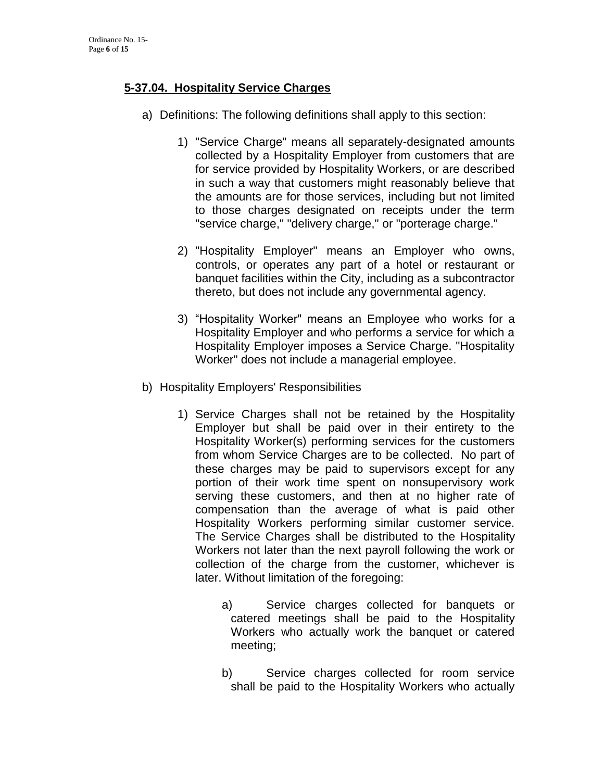# **5-37.04. Hospitality Service Charges**

- a) Definitions: The following definitions shall apply to this section:
	- 1) "Service Charge" means all separately-designated amounts collected by a Hospitality Employer from customers that are for service provided by Hospitality Workers, or are described in such a way that customers might reasonably believe that the amounts are for those services, including but not limited to those charges designated on receipts under the term "service charge," "delivery charge," or "porterage charge."
	- 2) "Hospitality Employer" means an Employer who owns, controls, or operates any part of a hotel or restaurant or banquet facilities within the City, including as a subcontractor thereto, but does not include any governmental agency.
	- 3) "Hospitality Worker" means an Employee who works for a Hospitality Employer and who performs a service for which a Hospitality Employer imposes a Service Charge. "Hospitality Worker" does not include a managerial employee.
- b) Hospitality Employers' Responsibilities
	- 1) Service Charges shall not be retained by the Hospitality Employer but shall be paid over in their entirety to the Hospitality Worker(s) performing services for the customers from whom Service Charges are to be collected. No part of these charges may be paid to supervisors except for any portion of their work time spent on nonsupervisory work serving these customers, and then at no higher rate of compensation than the average of what is paid other Hospitality Workers performing similar customer service. The Service Charges shall be distributed to the Hospitality Workers not later than the next payroll following the work or collection of the charge from the customer, whichever is later. Without limitation of the foregoing:
		- a) Service charges collected for banquets or catered meetings shall be paid to the Hospitality Workers who actually work the banquet or catered meeting;
		- b) Service charges collected for room service shall be paid to the Hospitality Workers who actually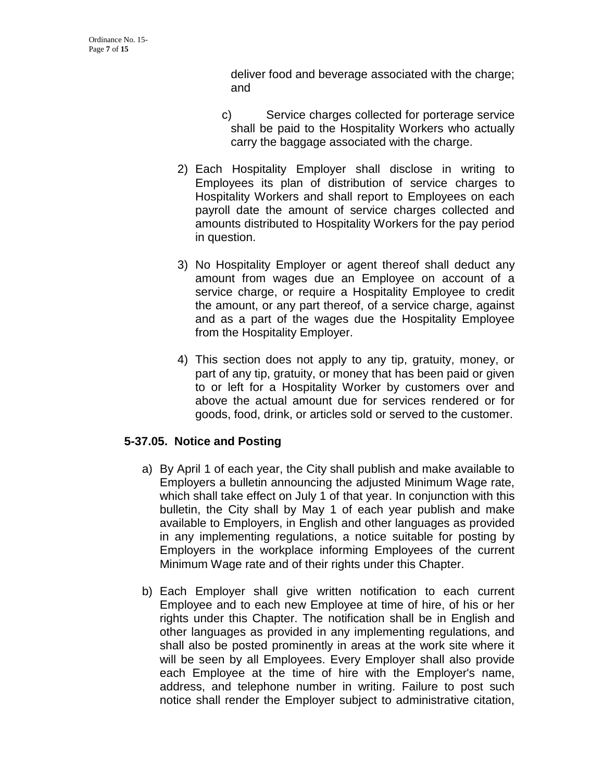deliver food and beverage associated with the charge; and

- c) Service charges collected for porterage service shall be paid to the Hospitality Workers who actually carry the baggage associated with the charge.
- 2) Each Hospitality Employer shall disclose in writing to Employees its plan of distribution of service charges to Hospitality Workers and shall report to Employees on each payroll date the amount of service charges collected and amounts distributed to Hospitality Workers for the pay period in question.
- 3) No Hospitality Employer or agent thereof shall deduct any amount from wages due an Employee on account of a service charge, or require a Hospitality Employee to credit the amount, or any part thereof, of a service charge, against and as a part of the wages due the Hospitality Employee from the Hospitality Employer.
- 4) This section does not apply to any tip, gratuity, money, or part of any tip, gratuity, or money that has been paid or given to or left for a Hospitality Worker by customers over and above the actual amount due for services rendered or for goods, food, drink, or articles sold or served to the customer.

# **5-37.05. Notice and Posting**

- a) By April 1 of each year, the City shall publish and make available to Employers a bulletin announcing the adjusted Minimum Wage rate, which shall take effect on July 1 of that year. In conjunction with this bulletin, the City shall by May 1 of each year publish and make available to Employers, in English and other languages as provided in any implementing regulations, a notice suitable for posting by Employers in the workplace informing Employees of the current Minimum Wage rate and of their rights under this Chapter.
- b) Each Employer shall give written notification to each current Employee and to each new Employee at time of hire, of his or her rights under this Chapter. The notification shall be in English and other languages as provided in any implementing regulations, and shall also be posted prominently in areas at the work site where it will be seen by all Employees. Every Employer shall also provide each Employee at the time of hire with the Employer's name, address, and telephone number in writing. Failure to post such notice shall render the Employer subject to administrative citation,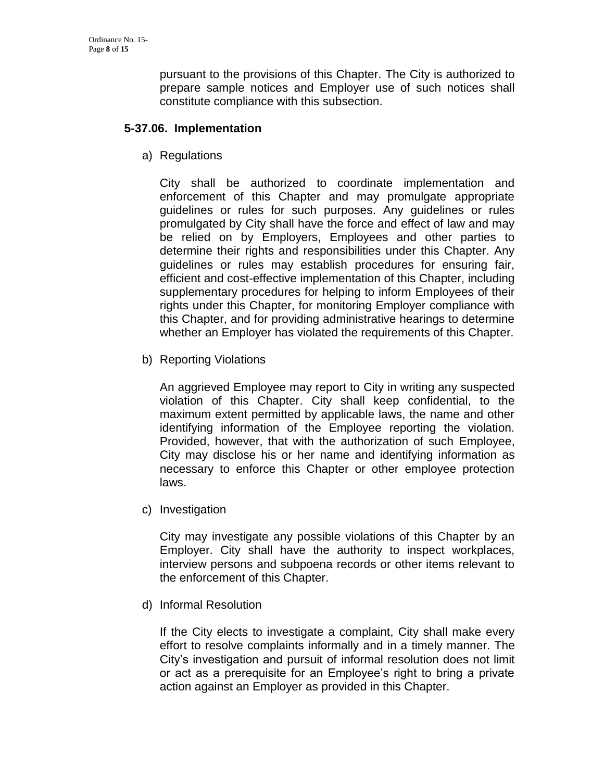pursuant to the provisions of this Chapter. The City is authorized to prepare sample notices and Employer use of such notices shall constitute compliance with this subsection.

### **5-37.06. Implementation**

a) Regulations

City shall be authorized to coordinate implementation and enforcement of this Chapter and may promulgate appropriate guidelines or rules for such purposes. Any guidelines or rules promulgated by City shall have the force and effect of law and may be relied on by Employers, Employees and other parties to determine their rights and responsibilities under this Chapter. Any guidelines or rules may establish procedures for ensuring fair, efficient and cost-effective implementation of this Chapter, including supplementary procedures for helping to inform Employees of their rights under this Chapter, for monitoring Employer compliance with this Chapter, and for providing administrative hearings to determine whether an Employer has violated the requirements of this Chapter.

b) Reporting Violations

An aggrieved Employee may report to City in writing any suspected violation of this Chapter. City shall keep confidential, to the maximum extent permitted by applicable laws, the name and other identifying information of the Employee reporting the violation. Provided, however, that with the authorization of such Employee, City may disclose his or her name and identifying information as necessary to enforce this Chapter or other employee protection laws.

c) Investigation

City may investigate any possible violations of this Chapter by an Employer. City shall have the authority to inspect workplaces, interview persons and subpoena records or other items relevant to the enforcement of this Chapter.

d) Informal Resolution

If the City elects to investigate a complaint, City shall make every effort to resolve complaints informally and in a timely manner. The City's investigation and pursuit of informal resolution does not limit or act as a prerequisite for an Employee's right to bring a private action against an Employer as provided in this Chapter.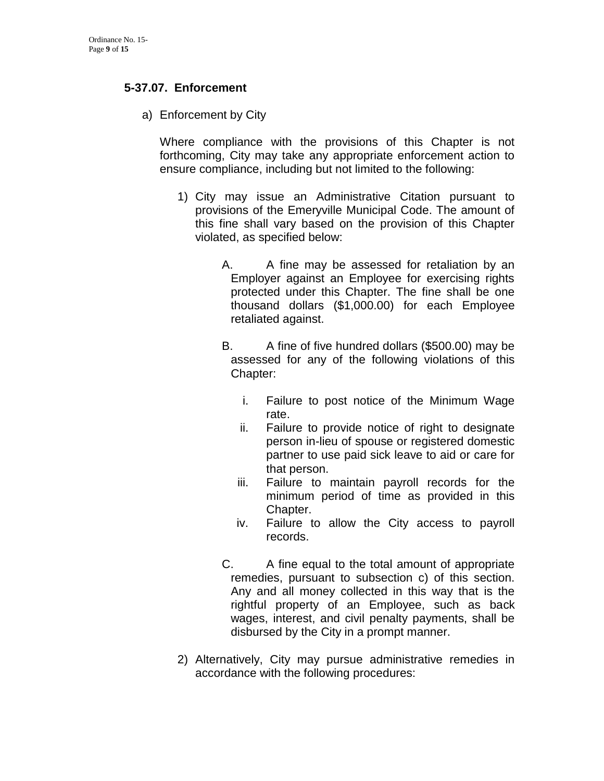## **5-37.07. Enforcement**

a) Enforcement by City

Where compliance with the provisions of this Chapter is not forthcoming, City may take any appropriate enforcement action to ensure compliance, including but not limited to the following:

- 1) City may issue an Administrative Citation pursuant to provisions of the Emeryville Municipal Code. The amount of this fine shall vary based on the provision of this Chapter violated, as specified below:
	- A. A fine may be assessed for retaliation by an Employer against an Employee for exercising rights protected under this Chapter. The fine shall be one thousand dollars (\$1,000.00) for each Employee retaliated against.
	- B. A fine of five hundred dollars (\$500.00) may be assessed for any of the following violations of this Chapter:
		- i. Failure to post notice of the Minimum Wage rate.
		- ii. Failure to provide notice of right to designate person in-lieu of spouse or registered domestic partner to use paid sick leave to aid or care for that person.
		- iii. Failure to maintain payroll records for the minimum period of time as provided in this Chapter.
		- iv. Failure to allow the City access to payroll records.
	- C. A fine equal to the total amount of appropriate remedies, pursuant to subsection c) of this section. Any and all money collected in this way that is the rightful property of an Employee, such as back wages, interest, and civil penalty payments, shall be disbursed by the City in a prompt manner.
- 2) Alternatively, City may pursue administrative remedies in accordance with the following procedures: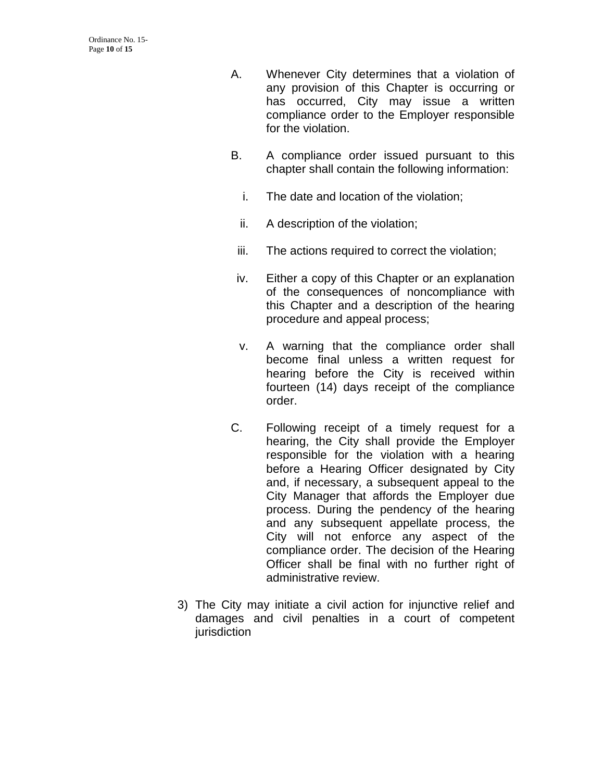- A. Whenever City determines that a violation of any provision of this Chapter is occurring or has occurred, City may issue a written compliance order to the Employer responsible for the violation.
- B. A compliance order issued pursuant to this chapter shall contain the following information:
	- i. The date and location of the violation;
	- ii. A description of the violation;
	- iii. The actions required to correct the violation;
- iv. Either a copy of this Chapter or an explanation of the consequences of noncompliance with this Chapter and a description of the hearing procedure and appeal process;
- v. A warning that the compliance order shall become final unless a written request for hearing before the City is received within fourteen (14) days receipt of the compliance order.
- C. Following receipt of a timely request for a hearing, the City shall provide the Employer responsible for the violation with a hearing before a Hearing Officer designated by City and, if necessary, a subsequent appeal to the City Manager that affords the Employer due process. During the pendency of the hearing and any subsequent appellate process, the City will not enforce any aspect of the compliance order. The decision of the Hearing Officer shall be final with no further right of administrative review.
- 3) The City may initiate a civil action for injunctive relief and damages and civil penalties in a court of competent jurisdiction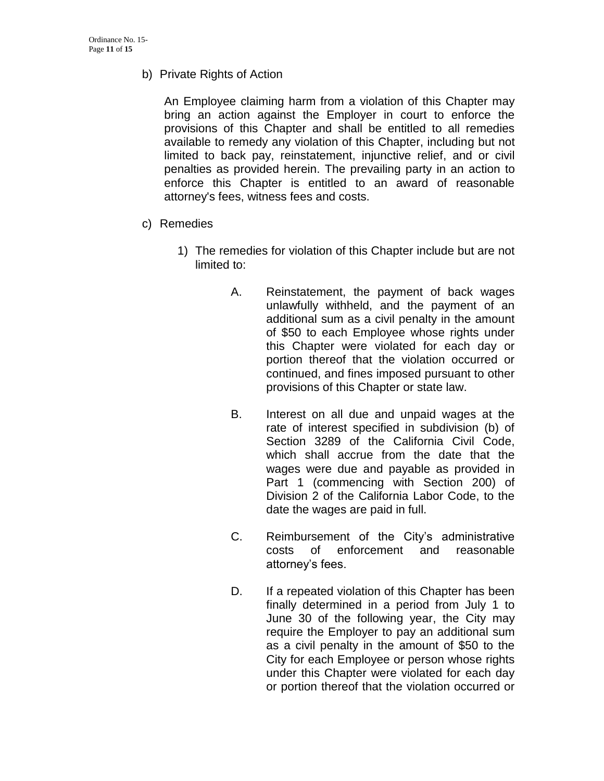b) Private Rights of Action

An Employee claiming harm from a violation of this Chapter may bring an action against the Employer in court to enforce the provisions of this Chapter and shall be entitled to all remedies available to remedy any violation of this Chapter, including but not limited to back pay, reinstatement, injunctive relief, and or civil penalties as provided herein. The prevailing party in an action to enforce this Chapter is entitled to an award of reasonable attorney's fees, witness fees and costs.

- c) Remedies
	- 1) The remedies for violation of this Chapter include but are not limited to:
		- A. Reinstatement, the payment of back wages unlawfully withheld, and the payment of an additional sum as a civil penalty in the amount of \$50 to each Employee whose rights under this Chapter were violated for each day or portion thereof that the violation occurred or continued, and fines imposed pursuant to other provisions of this Chapter or state law.
		- B. Interest on all due and unpaid wages at the rate of interest specified in subdivision (b) of Section 3289 of the California Civil Code, which shall accrue from the date that the wages were due and payable as provided in Part 1 (commencing with Section 200) of Division 2 of the California Labor Code, to the date the wages are paid in full.
		- C. Reimbursement of the City's administrative costs of enforcement and reasonable attorney's fees.
		- D. If a repeated violation of this Chapter has been finally determined in a period from July 1 to June 30 of the following year, the City may require the Employer to pay an additional sum as a civil penalty in the amount of \$50 to the City for each Employee or person whose rights under this Chapter were violated for each day or portion thereof that the violation occurred or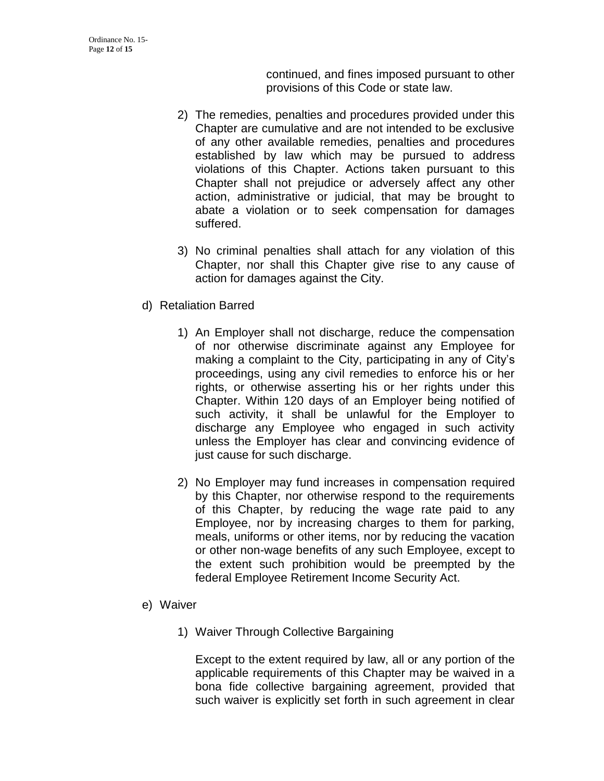continued, and fines imposed pursuant to other provisions of this Code or state law.

- 2) The remedies, penalties and procedures provided under this Chapter are cumulative and are not intended to be exclusive of any other available remedies, penalties and procedures established by law which may be pursued to address violations of this Chapter. Actions taken pursuant to this Chapter shall not prejudice or adversely affect any other action, administrative or judicial, that may be brought to abate a violation or to seek compensation for damages suffered.
- 3) No criminal penalties shall attach for any violation of this Chapter, nor shall this Chapter give rise to any cause of action for damages against the City.
- d) Retaliation Barred
	- 1) An Employer shall not discharge, reduce the compensation of nor otherwise discriminate against any Employee for making a complaint to the City, participating in any of City's proceedings, using any civil remedies to enforce his or her rights, or otherwise asserting his or her rights under this Chapter. Within 120 days of an Employer being notified of such activity, it shall be unlawful for the Employer to discharge any Employee who engaged in such activity unless the Employer has clear and convincing evidence of just cause for such discharge.
	- 2) No Employer may fund increases in compensation required by this Chapter, nor otherwise respond to the requirements of this Chapter, by reducing the wage rate paid to any Employee, nor by increasing charges to them for parking, meals, uniforms or other items, nor by reducing the vacation or other non-wage benefits of any such Employee, except to the extent such prohibition would be preempted by the federal Employee Retirement Income Security Act.
- e) Waiver
	- 1) Waiver Through Collective Bargaining

Except to the extent required by law, all or any portion of the applicable requirements of this Chapter may be waived in a bona fide collective bargaining agreement, provided that such waiver is explicitly set forth in such agreement in clear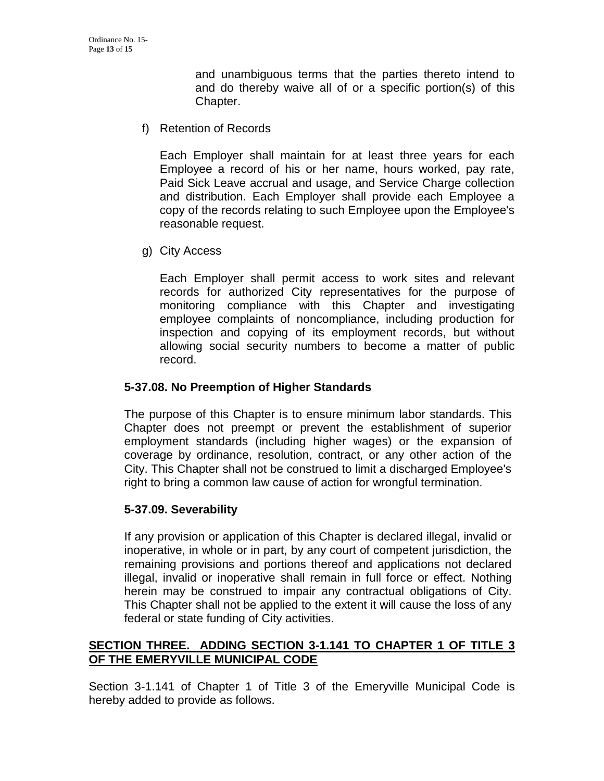and unambiguous terms that the parties thereto intend to and do thereby waive all of or a specific portion(s) of this Chapter.

f) Retention of Records

Each Employer shall maintain for at least three years for each Employee a record of his or her name, hours worked, pay rate, Paid Sick Leave accrual and usage, and Service Charge collection and distribution. Each Employer shall provide each Employee a copy of the records relating to such Employee upon the Employee's reasonable request.

g) City Access

Each Employer shall permit access to work sites and relevant records for authorized City representatives for the purpose of monitoring compliance with this Chapter and investigating employee complaints of noncompliance, including production for inspection and copying of its employment records, but without allowing social security numbers to become a matter of public record.

#### **5-37.08. No Preemption of Higher Standards**

The purpose of this Chapter is to ensure minimum labor standards. This Chapter does not preempt or prevent the establishment of superior employment standards (including higher wages) or the expansion of coverage by ordinance, resolution, contract, or any other action of the City. This Chapter shall not be construed to limit a discharged Employee's right to bring a common law cause of action for wrongful termination.

## **5-37.09. Severability**

If any provision or application of this Chapter is declared illegal, invalid or inoperative, in whole or in part, by any court of competent jurisdiction, the remaining provisions and portions thereof and applications not declared illegal, invalid or inoperative shall remain in full force or effect. Nothing herein may be construed to impair any contractual obligations of City. This Chapter shall not be applied to the extent it will cause the loss of any federal or state funding of City activities.

## **SECTION THREE. ADDING SECTION 3-1.141 TO CHAPTER 1 OF TITLE 3 OF THE EMERYVILLE MUNICIPAL CODE**

Section 3-1.141 of Chapter 1 of Title 3 of the Emeryville Municipal Code is hereby added to provide as follows.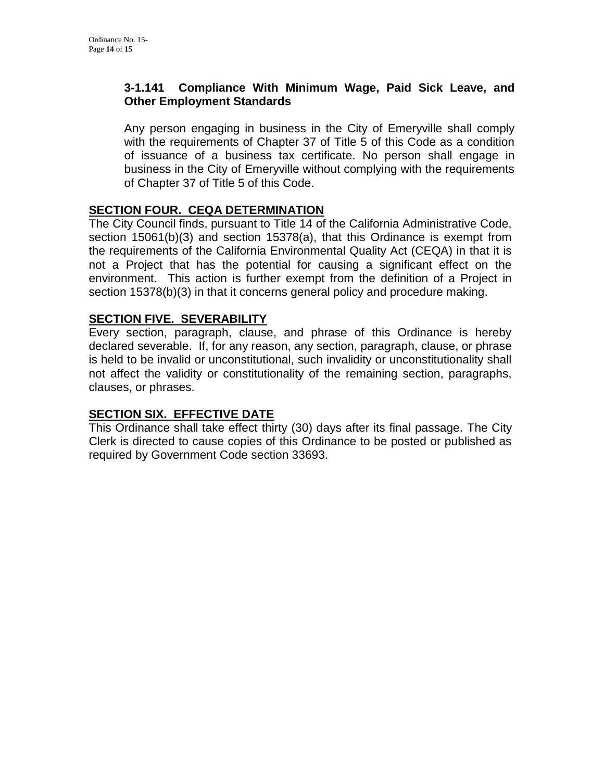## **3-1.141 Compliance With Minimum Wage, Paid Sick Leave, and Other Employment Standards**

Any person engaging in business in the City of Emeryville shall comply with the requirements of Chapter 37 of Title 5 of this Code as a condition of issuance of a business tax certificate. No person shall engage in business in the City of Emeryville without complying with the requirements of Chapter 37 of Title 5 of this Code.

## **SECTION FOUR. CEQA DETERMINATION**

The City Council finds, pursuant to Title 14 of the California Administrative Code, section 15061(b)(3) and section 15378(a), that this Ordinance is exempt from the requirements of the California Environmental Quality Act (CEQA) in that it is not a Project that has the potential for causing a significant effect on the environment. This action is further exempt from the definition of a Project in section 15378(b)(3) in that it concerns general policy and procedure making.

# **SECTION FIVE. SEVERABILITY**

Every section, paragraph, clause, and phrase of this Ordinance is hereby declared severable. If, for any reason, any section, paragraph, clause, or phrase is held to be invalid or unconstitutional, such invalidity or unconstitutionality shall not affect the validity or constitutionality of the remaining section, paragraphs, clauses, or phrases.

## **SECTION SIX. EFFECTIVE DATE**

This Ordinance shall take effect thirty (30) days after its final passage. The City Clerk is directed to cause copies of this Ordinance to be posted or published as required by Government Code section 33693.